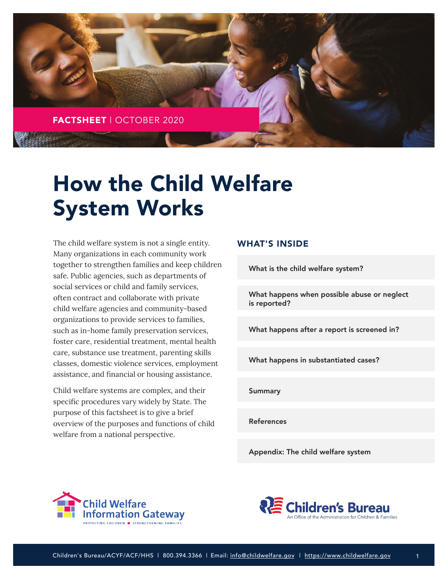

# How the Child Welfare System Works

The child welfare system is not a single entity. Many organizations in each community work together to strengthen families and keep children safe. Public agencies, such as departments of social services or child and family services, often contract and collaborate with private child welfare agencies and community-based organizations to provide services to families, such as in-home family preservation services, foster care, residential treatment, mental health care, substance use treatment, parenting skills classes, domestic violence services, employment assistance, and financial or housing assistance.

Child welfare systems are complex, and their specific procedures vary widely by State. The purpose of this factsheet is to give a brief overview of the purposes and functions of child welfare from a national perspective.

## WHAT'S INSIDE

[What is the child welfare system?](#page-1-0)

[What happens when possible abuse or neglect](#page-2-0) is reported?

[What happens after a report is screened in?](#page-3-0)

[What happens in substantiated cases?](#page-4-0)

[Summary](#page-6-0)

[References](#page-6-0)

[Appendix: The child welfare system](#page-7-0)





1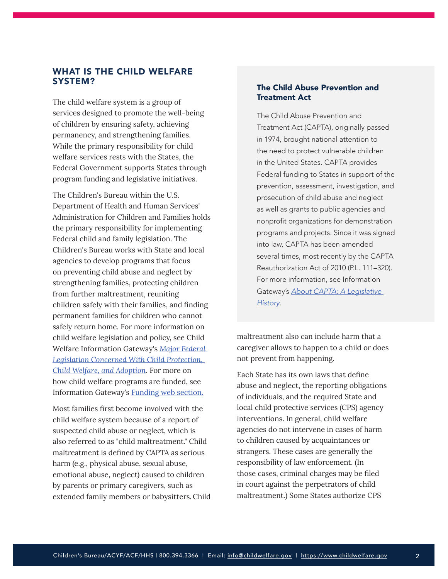## <span id="page-1-0"></span>WHAT IS THE CHILD WELFARE SYSTEM?

The child welfare system is a group of services designed to promote the well-being of children by ensuring safety, achieving permanency, and strengthening families. While the primary responsibility for child welfare services rests with the States, the Federal Government supports States through program funding and legislative initiatives.

The Children's Bureau within the U.S. Department of Health and Human Services' Administration for Children and Families holds the primary responsibility for implementing Federal child and family legislation. The Children's Bureau works with State and local agencies to develop programs that focus on preventing child abuse and neglect by strengthening families, protecting children from further maltreatment, reuniting children safely with their families, and finding permanent families for children who cannot safely return home. For more information on child welfare legislation and policy, see Child Welfare Information Gateway's *[Major Federal](https://www.childwelfare.gov/pubs/otherpubs/majorfedlegis/)  [Legislation Concerned With Child Protection,](https://www.childwelfare.gov/pubs/otherpubs/majorfedlegis/)  [Child Welfare, and Adoption](https://www.childwelfare.gov/pubs/otherpubs/majorfedlegis/)*. For more on how child welfare programs are funded, see Information Gateway's [Funding](https://www.childwelfare.gov/topics/management/funding/) web section.

Most families first become involved with the child welfare system because of a report of suspected child abuse or neglect, which is also referred to as "child maltreatment." Child maltreatment is defined by CAPTA as serious harm (e.g., physical abuse, sexual abuse, emotional abuse, neglect) caused to children by parents or primary caregivers, such as extended family members or babysitters.Child

## The Child Abuse Prevention and Treatment Act

The Child Abuse Prevention and Treatment Act (CAPTA), originally passed in 1974, brought national attention to the need to protect vulnerable children in the United States. CAPTA provides Federal funding to States in support of the prevention, assessment, investigation, and prosecution of child abuse and neglect as well as grants to public agencies and nonprofit organizations for demonstration programs and projects. Since it was signed into law, CAPTA has been amended several times, most recently by the CAPTA Reauthorization Act of 2010 (P.L. 111–320). For more information, see Information Gateway's *[About CAPTA: A Legislative](https://www.childwelfare.gov/pubs/factsheets/about/)  [History](https://www.childwelfare.gov/pubs/factsheets/about/)*.

maltreatment also can include harm that a caregiver allows to happen to a child or does not prevent from happening.

Each State has its own laws that define abuse and neglect, the reporting obligations of individuals, and the required State and local child protective services (CPS) agency interventions. In general, child welfare agencies do not intervene in cases of harm to children caused by acquaintances or strangers. These cases are generally the responsibility of law enforcement. (In those cases, criminal charges may be filed in court against the perpetrators of child maltreatment.) Some States authorize CPS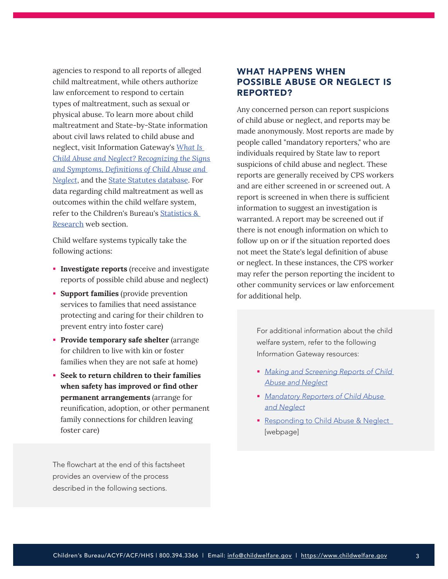<span id="page-2-0"></span>agencies to respond to all reports of alleged child maltreatment, while others authorize law enforcement to respond to certain types of maltreatment, such as sexual or physical abuse. To learn more about child maltreatment and State-by-State information about civil laws related to child abuse and neglect, visit Information Gateway's *[What Is](https://www.childwelfare.gov/pubs/factsheets/whatiscan/)  [Child Abuse and Neglect? Recognizing the Signs](https://www.childwelfare.gov/pubs/factsheets/whatiscan/)  [and Symptoms,](https://www.childwelfare.gov/pubs/factsheets/whatiscan/) [Definitions of Child Abuse and](https://www.childwelfare.gov/topics/systemwide/laws-policies/statutes/define/)  [Neglect](https://www.childwelfare.gov/topics/systemwide/laws-policies/statutes/define/)*, and the [State Statutes database](https://www.childwelfare.gov/topics/systemwide/laws-policies/state/). For data regarding child maltreatment as well as outcomes within the child welfare system, refer to the Children's Bureau's [Statistics &](https://www.acf.hhs.gov/cb/research-data-technology/statistics-research)  [Research](https://www.acf.hhs.gov/cb/research-data-technology/statistics-research) web section.

Child welfare systems typically take the following actions:

- **Investigate reports** (receive and investigate reports of possible child abuse and neglect)
- **Support families** (provide prevention services to families that need assistance protecting and caring for their children to prevent entry into foster care)
- **Provide temporary safe shelter** (arrange for children to live with kin or foster families when they are not safe at home)
- **Seek to return children to their families when safety has improved or find other permanent arrangements** (arrange for reunification, adoption, or other permanent family connections for children leaving foster care)

The flowchart at the end of this factsheet provides an overview of the process described in the following sections.

# WHAT HAPPENS WHEN POSSIBLE ABUSE OR NEGLECT IS REPORTED?

Any concerned person can report suspicions of child abuse or neglect, and reports may be made anonymously. Most reports are made by people called "mandatory reporters," who are individuals required by State law to report suspicions of child abuse and neglect. These reports are generally received by CPS workers and are either screened in or screened out. A report is screened in when there is sufficient information to suggest an investigation is warranted. A report may be screened out if there is not enough information on which to follow up on or if the situation reported does not meet the State's legal definition of abuse or neglect. In these instances, the CPS worker may refer the person reporting the incident to other community services or law enforcement for additional help.

> For additional information about the child welfare system, refer to the following Information Gateway resources:

- *[Making and Screening Reports of Child](https://www.childwelfare.gov/topics/systemwide/laws-policies/statutes/repproc/)  [Abuse and Neglect](https://www.childwelfare.gov/topics/systemwide/laws-policies/statutes/repproc/)*
- *[Mandatory Reporters of Child Abuse](https://www.childwelfare.gov/topics/systemwide/laws-policies/statutes/manda/)  [and Neglect](https://www.childwelfare.gov/topics/systemwide/laws-policies/statutes/manda/)*
- [Responding to Child Abuse & Neglect](https://www.childwelfare.gov/topics/responding/) [webpage]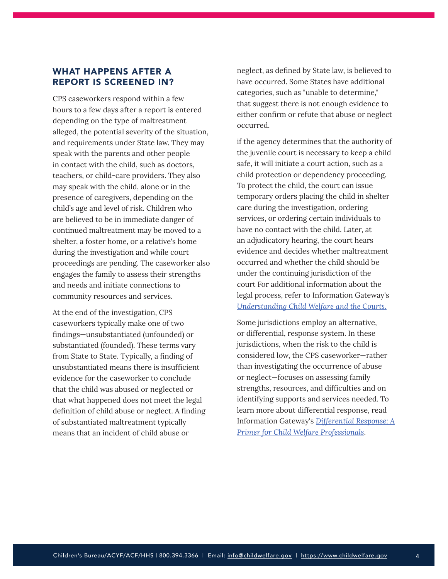# <span id="page-3-0"></span>WHAT HAPPENS AFTER A REPORT IS SCREENED IN?

CPS caseworkers respond within a few hours to a few days after a report is entered depending on the type of maltreatment alleged, the potential severity of the situation, and requirements under State law. They may speak with the parents and other people in contact with the child, such as doctors, teachers, or child-care providers. They also may speak with the child, alone or in the presence of caregivers, depending on the child's age and level of risk. Children who are believed to be in immediate danger of continued maltreatment may be moved to a shelter, a foster home, or a relative's home during the investigation and while court proceedings are pending. The caseworker also engages the family to assess their strengths and needs and initiate connections to community resources and services.

At the end of the investigation, CPS caseworkers typically make one of two findings—unsubstantiated (unfounded) or substantiated (founded). These terms vary from State to State. Typically, a finding of unsubstantiated means there is insufficient evidence for the caseworker to conclude that the child was abused or neglected or that what happened does not meet the legal definition of child abuse or neglect. A finding of substantiated maltreatment typically means that an incident of child abuse or

neglect, as defined by State law, is believed to have occurred. Some States have additional categories, such as "unable to determine," that suggest there is not enough evidence to either confirm or refute that abuse or neglect occurred.

if the agency determines that the authority of the juvenile court is necessary to keep a child safe, it will initiate a court action, such as a child protection or dependency proceeding. To protect the child, the court can issue temporary orders placing the child in shelter care during the investigation, ordering services, or ordering certain individuals to have no contact with the child. Later, at an adjudicatory hearing, the court hears evidence and decides whether maltreatment occurred and whether the child should be under the continuing jurisdiction of the court For additional information about the legal process, refer to Information Gateway's *Understanding [Child Welfare and the Courts](https://www.childwelfare.gov/pubs/factsheets/cwandcourts/)*.

Some jurisdictions employ an alternative, or differential, response system. In these jurisdictions, when the risk to the child is considered low, the CPS caseworker—rather than investigating the occurrence of abuse or neglect—focuses on assessing family strengths, resources, and difficulties and on identifying supports and services needed. To learn more about differential response, read Information Gateway's *[Differential Response: A](https://www.childwelfare.gov/pubs/factsheets/differential-response/)  [Primer for Child Welfare Professionals](https://www.childwelfare.gov/pubs/factsheets/differential-response/)*.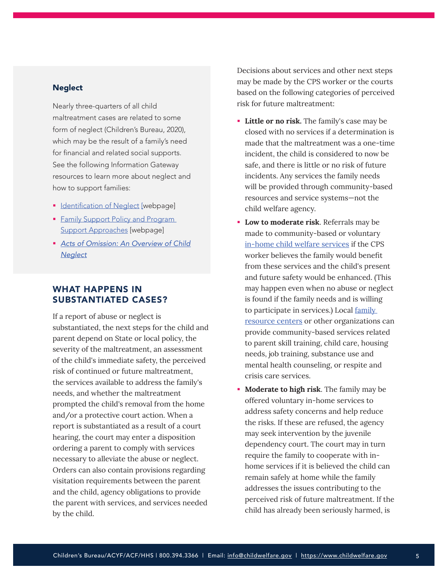#### <span id="page-4-0"></span>**Neglect**

Nearly three-quarters of all child maltreatment cases are related to some form of neglect (Children's Bureau, 2020), which may be the result of a family's need for financial and related social supports. See the following Information Gateway resources to learn more about neglect and how to support families:

- **IDENTIFICATION OF Neglect [\[w](https://icfonline.sharepoint.com/:w:/s/ProductDevelopment/ETJV61HvA05BqH20RWF-d8QBYBLYlyBPeqCSspRa61Y-vw)ebpage]**
- **Family Support Policy and Program** [Support Approaches](https://www.childwelfare.gov/topics/supporting/support-services/policy/) [webpage]
- *[Acts of Omission: An Overview of Child](https://www.childwelfare.gov/pubs/focus/acts/)  [Neglect](https://www.childwelfare.gov/pubs/focus/acts/)*

# WHAT HAPPENS IN SUBSTANTIATED CASES?

If a report of abuse or neglect is substantiated, the next steps for the child and parent depend on State or local policy, the severity of the maltreatment, an assessment of the child's immediate safety, the perceived risk of continued or future maltreatment, the services available to address the family's needs, and whether the maltreatment prompted the child's removal from the home and/or a protective court action. When a report is substantiated as a result of a court hearing, the court may enter a disposition ordering a parent to comply with services necessary to alleviate the abuse or neglect. Orders can also contain provisions regarding visitation requirements between the parent and the child, agency obligations to provide the parent with services, and services needed by the child.

Decisions about services and other next steps may be made by the CPS worker or the courts based on the following categories of perceived risk for future maltreatment:

- **Little or no risk.** The family's case may be closed with no services if a determination is made that the maltreatment was a one-time incident, the child is considered to now be safe, and there is little or no risk of future incidents. Any services the family needs will be provided through community-based resources and service systems—not the child welfare agency.
- **Low to moderate risk**. Referrals may be made to community-based or voluntary [in-home child welfare services](https://www.childwelfare.gov/topics/supporting/inhome/) if the CPS worker believes the family would benefit from these services and the child's present and future safety would be enhanced. (This may happen even when no abuse or neglect is found if the family needs and is willing to participate in services.) Local [family](https://www.childwelfare.gov/topics/preventing/prevention-programs/familyresource/)  [resource centers](https://www.childwelfare.gov/topics/preventing/prevention-programs/familyresource/) or other organizations can provide community-based services related to parent skill training, child care, housing needs, job training, substance use and mental health counseling, or respite and crisis care services.
- **Moderate to high risk**. The family may be offered voluntary in-home services to address safety concerns and help reduce the risks. If these are refused, the agency may seek intervention by the juvenile dependency court. The court may in turn require the family to cooperate with inhome services if it is believed the child can remain safely at home while the family addresses the issues contributing to the perceived risk of future maltreatment. If the child has already been seriously harmed, is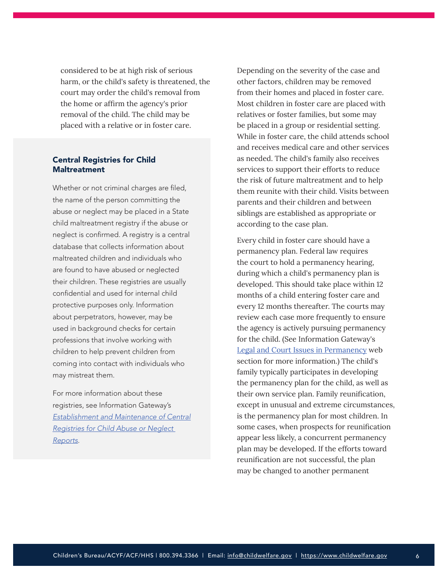considered to be at high risk of serious harm, or the child's safety is threatened, the court may order the child's removal from the home or affirm the agency's prior removal of the child. The child may be placed with a relative or in foster care.

#### Central Registries for Child **Maltreatment**

Whether or not criminal charges are filed, the name of the person committing the abuse or neglect may be placed in a State child maltreatment registry if the abuse or neglect is confirmed. A registry is a central database that collects information about maltreated children and individuals who are found to have abused or neglected their children. These registries are usually confidential and used for internal child protective purposes only. Information about perpetrators, however, may be used in background checks for certain professions that involve working with children to help prevent children from coming into contact with individuals who may mistreat them.

For more information about these registries, see Information Gateway's *[Establishment and Maintenance of Central](https://www.childwelfare.gov/topics/systemwide/laws-policies/statutes/centreg/)  [Registries for Child Abuse or Neglect](https://www.childwelfare.gov/topics/systemwide/laws-policies/statutes/centreg/)  [Reports](https://www.childwelfare.gov/topics/systemwide/laws-policies/statutes/centreg/)*.

Depending on the severity of the case and other factors, children may be removed from their homes and placed in foster care. Most children in foster care are placed with relatives or foster families, but some may be placed in a group or residential setting. While in foster care, the child attends school and receives medical care and other services as needed. The child's family also receives services to support their efforts to reduce the risk of future maltreatment and to help them reunite with their child. Visits between parents and their children and between siblings are established as appropriate or according to the case plan.

Every child in foster care should have a permanency plan. Federal law requires the court to hold a permanency hearing, during which a child's permanency plan is developed. This should take place within 12 months of a child entering foster care and every 12 months thereafter. The courts may review each case more frequently to ensure the agency is actively pursuing permanency for the child. (See Information Gateway's [Legal and Court Issues in Permanency](https://www.childwelfare.gov/topics/permanency/legal-court/) web section for more information.) The child's family typically participates in developing the permanency plan for the child, as well as their own service plan. Family reunification, except in unusual and extreme circumstances, is the permanency plan for most children. In some cases, when prospects for reunification appear less likely, a concurrent permanency plan may be developed. If the efforts toward reunification are not successful, the plan may be changed to another permanent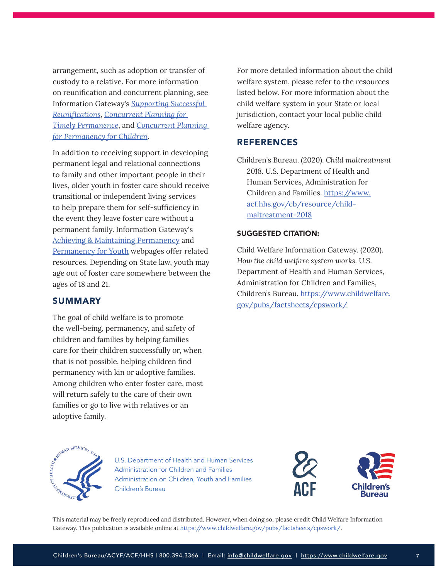<span id="page-6-0"></span>arrangement, such as adoption or transfer of custody to a relative. For more information on reunification and concurrent planning, see Information Gateway's *[Supporting Successful](https://www.childwelfare.gov/pubs/supporting-successful-reunifications/)  [Reunifications](https://www.childwelfare.gov/pubs/supporting-successful-reunifications/)*, *[Concurrent Planning for](https://www.childwelfare.gov/pubs/concurrent-planning/)  [Timely Permanence](https://www.childwelfare.gov/pubs/concurrent-planning/)*, and *[Concurrent Planning](https://www.childwelfare.gov/topics/systemwide/laws-policies/statutes/concurrent/)  [for Permanency for Children](https://www.childwelfare.gov/topics/systemwide/laws-policies/statutes/concurrent/)*.

In addition to receiving support in developing permanent legal and relational connections to family and other important people in their lives, older youth in foster care should receive transitional or independent living services to help prepare them for self-sufficiency in the event they leave foster care without a permanent family. Information Gateway's [Achieving & Maintaining Permanency](https://www.childwelfare.gov/topics/permanency/) and [Permanency for Youth](https://www.childwelfare.gov/topics/permanency/specific/youth/) webpages offer related resources. Depending on State law, youth may age out of foster care somewhere between the ages of 18 and 21.

### SUMMARY

The goal of child welfare is to promote the well-being, permanency, and safety of children and families by helping families care for their children successfully or, when that is not possible, helping children find permanency with kin or adoptive families. Among children who enter foster care, most will return safely to the care of their own families or go to live with relatives or an adoptive family.

For more detailed information about the child welfare system, please refer to the resources listed below. For more information about the child welfare system in your State or local jurisdiction, contact your local public child welfare agency.

## **REFERENCES**

Children's Bureau. (2020). *Child maltreatment 2018*. U.S. Department of Health and Human Services, Administration for Children and Families. [https://www.](https://www.acf.hhs.gov/cb/resource/child-maltreatment-2018) [acf.hhs.gov/cb/resource/child](https://www.acf.hhs.gov/cb/resource/child-maltreatment-2018)[maltreatment-2018](https://www.acf.hhs.gov/cb/resource/child-maltreatment-2018)

#### SUGGESTED CITATION:

Child Welfare Information Gateway. (2020). *How the child welfare system works.* U.S. Department of Health and Human Services, Administration for Children and Families, Children's Bureau. [https://www.childwelfare.](https://www.childwelfare.gov/pubs/factsheets/cpswork/) [gov/pubs/factsheets/cpswork/](https://www.childwelfare.gov/pubs/factsheets/cpswork/)



U.S. Department of Health and Human Services Administration for Children and Families Administration on Children, Youth and Families Children's Bureau



This material may be freely reproduced and distributed. However, when doing so, please credit Child Welfare Information Gateway. This publication is available online at [https://www.childwelfare.gov/pubs/factsheets/cpswork/.](https://www.childwelfare.gov/pubs/factsheets/cpswork/)